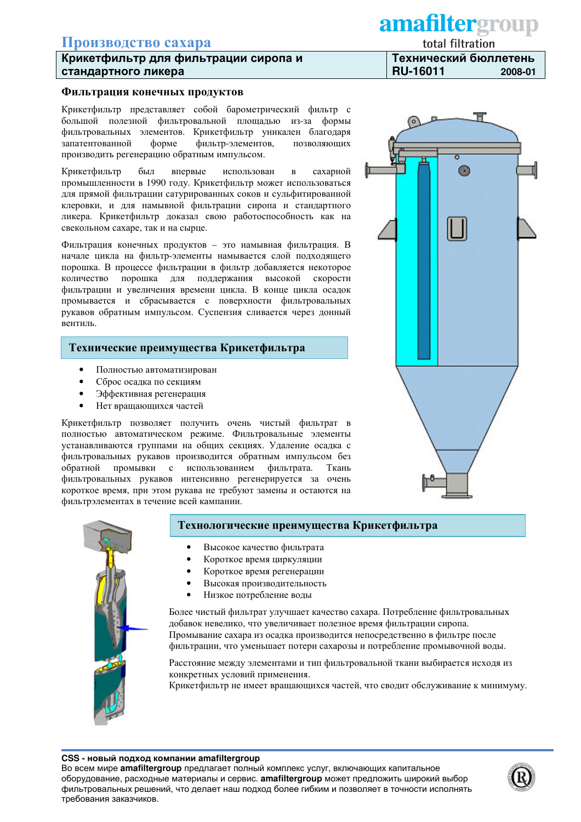# Производство сахара

## Крикетфильтр для фильтрации сиропа и стандартного ликера

#### Фильтрация конечных продуктов

Крикетфильтр представляет собой барометрический фильтр с большой полезной фильтровальной площадью из-за формы фильтровальных элементов. Крикетфильтр уникален благодаря запатентованной форме фильтр-элементов, позволяющих производить регенерацию обратным импульсом.

Крикетфильтр был впервые использован сахарной  $\bf{B}$ промышленности в 1990 году. Крикетфильтр может использоваться для прямой фильтрации сатурированных соков и сульфитированной клеровки, и для намывной фильтрации сиропа и стандартного ликера. Крикетфильтр доказал свою работоспособность как на свекольном сахаре, так и на сырце.

Фильтрация конечных продуктов - это намывная фильтрация. В начале цикла на фильтр-элементы намывается слой подходящего порошка. В процессе фильтрации в фильтр добавляется некоторое количество порошка для поддержания высокой скорости фильтрации и увеличения времени цикла. В конце цикла осадок промывается и сбрасывается с поверхности фильтровальных рукавов обратным импульсом. Суспензия сливается через донный вентиль.

#### Технические преимущества Крикетфильтра

- Полностью автоматизирован
- Сброс осадка по секциям
- Эффективная регенерация
- Нет вращающихся частей

Крикетфильтр позволяет получить очень чистый фильтрат в полностью автоматическом режиме. Фильтровальные элементы устанавливаются группами на общих секциях. Удаление осадка с фильтровальных рукавов производится обратным импульсом без обратной промывки с использованием фильтрата. Ткань фильтровальных рукавов интенсивно регенерируется за очень короткое время, при этом рукава не требуют замены и остаются на фильтрэлементах в течение всей кампании.



### Технологические преимущества Крикетфильтра

- Высокое качество фильтрата
- Короткое время циркуляции
- Короткое время регенерации
- Высокая производительность
- Низкое потребление волы

Более чистый фильтрат улучшает качество сахара. Потребление фильтровальных добавок невелико, что увеличивает полезное время фильтрации сиропа. Промывание сахара из осадка производится непосредственно в фильтре после фильтрации, что уменьшает потери сахарозы и потребление промывочной воды.

Расстояние между элементами и тип фильтровальной ткани выбирается исходя из конкретных условий применения.

Крикетфильтр не имеет вращающихся частей, что сводит обслуживание к минимуму.

# amafiltergroup

total filtration

Технический бюллетень **RU-16011** 2008-01



#### CSS - новый подход компании amafiltergroup

Во всем мире amafiltergroup предлагает полный комплекс услуг, включающих капитальное оборудование, расходные материалы и сервис. amafiltergroup может предложить широкий выбор фильтровальных решений, что делает наш подход более гибким и позволяет в точности исполнять требования заказчиков.